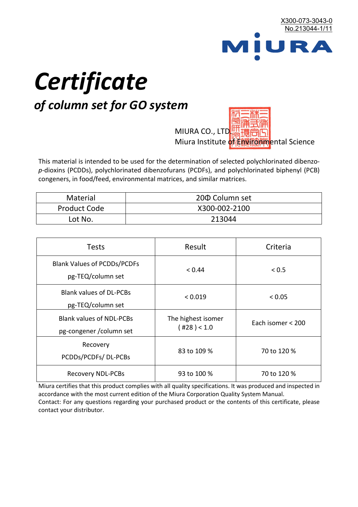

# *Certificate*

# *of column set for GO system*

MIURA CO., LTD. Miura Institute of 正版而解ental Science

This material is intended to be used for the determination of selected polychlorinated dibenzo*p*-dioxins (PCDDs), polychlorinated dibenzofurans (PCDFs), and polychlorinated biphenyl (PCB) congeners, in food/feed, environmental matrices, and similar matrices.

| <b>Material</b>     | 200 Column set |
|---------------------|----------------|
| <b>Product Code</b> | X300-002-2100  |
| Lot No.             | 213044         |

| <b>Tests</b>                                                | Result                            | Criteria          |
|-------------------------------------------------------------|-----------------------------------|-------------------|
| <b>Blank Values of PCDDs/PCDFs</b><br>pg-TEQ/column set     | < 0.44                            | < 0.5             |
| <b>Blank values of DL-PCBs</b><br>pg-TEQ/column set         | < 0.019                           | < 0.05            |
| <b>Blank values of NDL-PCBs</b><br>pg-congener / column set | The highest isomer<br>(428) < 1.0 | Each isomer < 200 |
| Recovery<br>PCDDs/PCDFs/DL-PCBs                             | 83 to 109 %                       | 70 to 120 %       |
| <b>Recovery NDL-PCBs</b>                                    | 93 to 100 %                       | 70 to 120 %       |

Miura certifies that this product complies with all quality specifications. It was produced and inspected in accordance with the most current edition of the Miura Corporation Quality System Manual. Contact: For any questions regarding your purchased product or the contents of this certificate, please contact your distributor.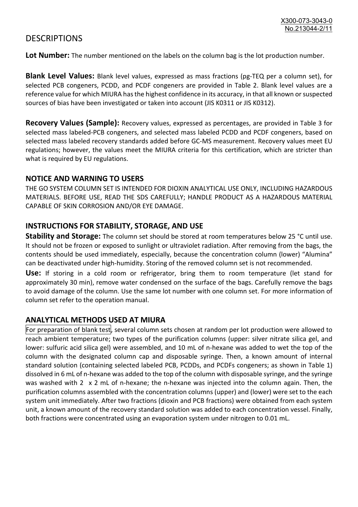## **DESCRIPTIONS**

**Lot Number:** The number mentioned on the labels on the column bag is the lot production number.

**Blank Level Values:** Blank level values, expressed as mass fractions (pg-TEQ per a column set), for selected PCB congeners, PCDD, and PCDF congeners are provided in Table 2. Blank level values are a reference value for which MIURA has the highest confidence in its accuracy, in that all known or suspected sources of bias have been investigated or taken into account (JIS K0311 or JIS K0312).

**Recovery Values (Sample):** Recovery values, expressed as percentages, are provided in Table 3 for selected mass labeled-PCB congeners, and selected mass labeled PCDD and PCDF congeners, based on selected mass labeled recovery standards added before GC-MS measurement. Recovery values meet EU regulations; however, the values meet the MIURA criteria for this certification, which are stricter than what is required by EU regulations.

#### **NOTICE AND WARNING TO USERS**

THE GO SYSTEM COLUMN SET IS INTENDED FOR DIOXIN ANALYTICAL USE ONLY, INCLUDING HAZARDOUS MATERIALS. BEFORE USE, READ THE SDS CAREFULLY; HANDLE PRODUCT AS A HAZARDOUS MATERIAL CAPABLE OF SKIN CORROSION AND/OR EYE DAMAGE.

#### **INSTRUCTIONS FOR STABILITY, STORAGE, AND USE**

**Stability and Storage:** The column set should be stored at room temperatures below 25 °C until use. It should not be frozen or exposed to sunlight or ultraviolet radiation. After removing from the bags, the contents should be used immediately, especially, because the concentration column (lower) "Alumina" can be deactivated under high-humidity. Storing of the removed column set is not recommended.

**Use:** If storing in a cold room or refrigerator, bring them to room temperature (let stand for approximately 30 min), remove water condensed on the surface of the bags. Carefully remove the bags to avoid damage of the column. Use the same lot number with one column set. For more information of column set refer to the operation manual.

### **ANALYTICAL METHODS USED AT MIURA**

For preparation of blank test, several column sets chosen at random per lot production were allowed to reach ambient temperature; two types of the purification columns (upper: silver nitrate silica gel, and lower: sulfuric acid silica gel) were assembled, and 10 mL of n-hexane was added to wet the top of the column with the designated column cap and disposable syringe. Then, a known amount of internal standard solution (containing selected labeled PCB, PCDDs, and PCDFs congeners; as shown in Table 1) dissolved in 6 mL of n-hexane was added to the top of the column with disposable syringe, and the syringe was washed with 2 x 2 mL of n-hexane; the n-hexane was injected into the column again. Then, the purification columns assembled with the concentration columns (upper) and (lower) were set to the each system unit immediately. After two fractions (dioxin and PCB fractions) were obtained from each system unit, a known amount of the recovery standard solution was added to each concentration vessel. Finally, both fractions were concentrated using an evaporation system under nitrogen to 0.01 mL.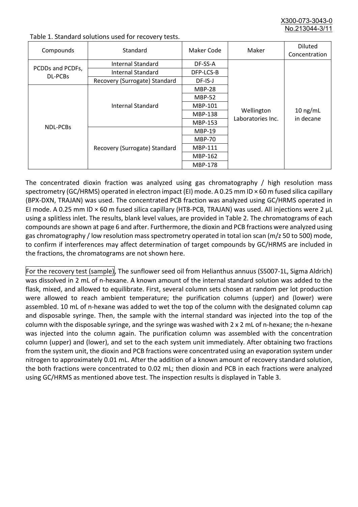X300-073-3043-0 No. 213044-3/

| Compounds        | Standard                      | Maker Code     | Maker                           | <b>Diluted</b><br>Concentration |
|------------------|-------------------------------|----------------|---------------------------------|---------------------------------|
|                  | Internal Standard             | DF-SS-A        |                                 |                                 |
| PCDDs and PCDFs, | <b>Internal Standard</b>      | DFP-LCS-B      |                                 |                                 |
| DL-PCBs          | Recovery (Surrogate) Standard | $DF$ -IS-J     | Wellington<br>Laboratories Inc. | $10$ ng/mL<br>in decane         |
| NDL-PCBs         | Internal Standard             | <b>MBP-28</b>  |                                 |                                 |
|                  |                               | <b>MBP-52</b>  |                                 |                                 |
|                  |                               | MBP-101        |                                 |                                 |
|                  |                               | <b>MBP-138</b> |                                 |                                 |
|                  |                               | MBP-153        |                                 |                                 |
|                  | Recovery (Surrogate) Standard | <b>MBP-19</b>  |                                 |                                 |
|                  |                               | <b>MBP-70</b>  |                                 |                                 |
|                  |                               | MBP-111        |                                 |                                 |
|                  |                               | MBP-162        |                                 |                                 |
|                  |                               | <b>MBP-178</b> |                                 |                                 |

Table 1. Standard solutions used for recovery tests.

The concentrated dioxin fraction was analyzed using gas chromatography / high resolution mass spectrometry (GC/HRMS) operated in electron impact (EI) mode. A 0.25 mm ID × 60 m fused silica capillary (BPX-DXN, TRAJAN) was used. The concentrated PCB fraction was analyzed using GC/HRMS operated in EI mode. A 0.25 mm ID × 60 m fused silica capillary (HT8-PCB, TRAJAN) was used. All injections were 2 μL using a splitless inlet. The results, blank level values, are provided in Table 2. The chromatograms of each compounds are shown at page 6 and after. Furthermore, the dioxin and PCB fractions were analyzed using gas chromatography / low resolution mass spectrometry operated in total ion scan (m/z 50 to 500) mode, to confirm if interferences may affect determination of target compounds by GC/HRMS are included in the fractions, the chromatograms are not shown here.

For the recovery test (sample), The sunflower seed oil from Helianthus annuus (S5007-1L, Sigma Aldrich) was dissolved in 2 mL of n-hexane. A known amount of the internal standard solution was added to the flask, mixed, and allowed to equilibrate. First, several column sets chosen at random per lot production were allowed to reach ambient temperature; the purification columns (upper) and (lower) were assembled. 10 mL of n-hexane was added to wet the top of the column with the designated column cap and disposable syringe. Then, the sample with the internal standard was injected into the top of the column with the disposable syringe, and the syringe was washed with 2 x 2 mL of n-hexane; the n-hexane was injected into the column again. The purification column was assembled with the concentration column (upper) and (lower), and set to the each system unit immediately. After obtaining two fractions from the system unit, the dioxin and PCB fractions were concentrated using an evaporation system under nitrogen to approximately 0.01 mL. After the addition of a known amount of recovery standard solution, the both fractions were concentrated to 0.02 mL; then dioxin and PCB in each fractions were analyzed using GC/HRMS as mentioned above test. The inspection results is displayed in Table 3.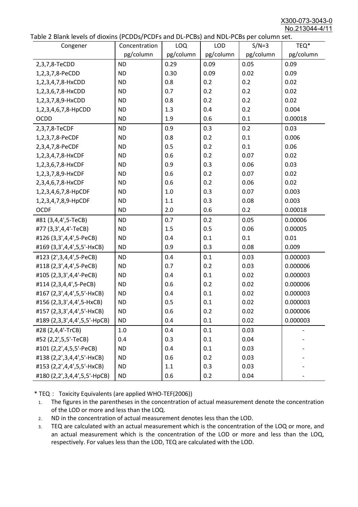X300-073-3043-0 No.213044-4/11

|  | Table 2 Blank levels of dioxins (PCDDs/PCDFs and DL-PCBs) and NDL-PCBs per column set. |
|--|----------------------------------------------------------------------------------------|
|--|----------------------------------------------------------------------------------------|

| abic 2 Diarik icveis of dioxins (I CDD3/TCDTs and DET CD3/ and NDET CD3 pcr column sett.<br>Congener | Concentration | <b>LOQ</b> | <b>LOD</b> | $S/N=3$   | TEQ*      |
|------------------------------------------------------------------------------------------------------|---------------|------------|------------|-----------|-----------|
|                                                                                                      | pg/column     | pg/column  | pg/column  | pg/column | pg/column |
| 2,3,7,8-TeCDD                                                                                        | <b>ND</b>     | 0.29       | 0.09       | 0.05      | 0.09      |
| 1,2,3,7,8-PeCDD                                                                                      | <b>ND</b>     | 0.30       | 0.09       | 0.02      | 0.09      |
| 1,2,3,4,7,8-HxCDD                                                                                    | <b>ND</b>     | 0.8        | 0.2        | 0.2       | 0.02      |
| 1,2,3,6,7,8-HxCDD                                                                                    | <b>ND</b>     | 0.7        | 0.2        | 0.2       | 0.02      |
| 1,2,3,7,8,9-HxCDD                                                                                    | <b>ND</b>     | 0.8        | 0.2        | 0.2       | 0.02      |
| 1,2,3,4,6,7,8-HpCDD                                                                                  | <b>ND</b>     | 1.3        | 0.4        | 0.2       | 0.004     |
| <b>OCDD</b>                                                                                          | <b>ND</b>     | 1.9        | 0.6        | 0.1       | 0.00018   |
| 2,3,7,8-TeCDF                                                                                        | <b>ND</b>     | 0.9        | 0.3        | 0.2       | 0.03      |
| 1,2,3,7,8-PeCDF                                                                                      | <b>ND</b>     | 0.8        | 0.2        | 0.1       | 0.006     |
| 2,3,4,7,8-PeCDF                                                                                      | <b>ND</b>     | 0.5        | 0.2        | 0.1       | 0.06      |
| 1,2,3,4,7,8-HxCDF                                                                                    | <b>ND</b>     | 0.6        | 0.2        | 0.07      | 0.02      |
| 1,2,3,6,7,8-HxCDF                                                                                    | <b>ND</b>     | 0.9        | 0.3        | 0.06      | 0.03      |
| 1,2,3,7,8,9-HxCDF                                                                                    | <b>ND</b>     | 0.6        | 0.2        | 0.07      | 0.02      |
| 2,3,4,6,7,8-HxCDF                                                                                    | <b>ND</b>     | 0.6        | 0.2        | 0.06      | 0.02      |
| 1,2,3,4,6,7,8-HpCDF                                                                                  | <b>ND</b>     | 1.0        | 0.3        | 0.07      | 0.003     |
| 1,2,3,4,7,8,9-HpCDF                                                                                  | <b>ND</b>     | 1.1        | 0.3        | 0.08      | 0.003     |
| <b>OCDF</b>                                                                                          | <b>ND</b>     | 2.0        | 0.6        | 0.2       | 0.00018   |
| #81 (3,4,4',5-TeCB)                                                                                  | <b>ND</b>     | 0.7        | 0.2        | 0.05      | 0.00006   |
| #77 (3,3',4,4'-TeCB)                                                                                 | <b>ND</b>     | 1.5        | 0.5        | 0.06      | 0.00005   |
| #126 (3,3',4,4',5-PeCB)                                                                              | <b>ND</b>     | 0.4        | 0.1        | 0.1       | 0.01      |
| #169 (3,3',4,4',5,5'-HxCB)                                                                           | <b>ND</b>     | 0.9        | 0.3        | 0.08      | 0.009     |
| #123 (2',3,4,4',5-PeCB)                                                                              | <b>ND</b>     | 0.4        | 0.1        | 0.03      | 0.000003  |
| #118 (2,3',4,4',5-PeCB)                                                                              | <b>ND</b>     | 0.7        | 0.2        | 0.03      | 0.000006  |
| #105 (2,3,3',4,4'-PeCB)                                                                              | <b>ND</b>     | 0.4        | 0.1        | 0.02      | 0.000003  |
| #114 (2,3,4,4',5-PeCB)                                                                               | <b>ND</b>     | 0.6        | 0.2        | 0.02      | 0.000006  |
| #167 (2,3',4,4',5,5'-HxCB)                                                                           | <b>ND</b>     | 0.4        | 0.1        | 0.02      | 0.000003  |
| #156 (2,3,3',4,4',5-HxCB)                                                                            | <b>ND</b>     | 0.5        | 0.1        | 0.02      | 0.000003  |
| #157 (2,3,3',4,4',5'-HxCB)                                                                           | <b>ND</b>     | 0.6        | 0.2        | 0.02      | 0.000006  |
| #189 (2,3,3',4,4',5,5'-HpCB)                                                                         | <b>ND</b>     | 0.4        | 0.1        | 0.02      | 0.000003  |
| #28 (2,4,4'-TrCB)                                                                                    | 1.0           | 0.4        | 0.1        | 0.03      |           |
| #52 (2,2',5,5'-TeCB)                                                                                 | 0.4           | 0.3        | 0.1        | 0.04      |           |
| #101 (2,2',4,5,5'-PeCB)                                                                              | <b>ND</b>     | 0.4        | 0.1        | 0.03      |           |
| #138 (2,2',3,4,4',5'-HxCB)                                                                           | <b>ND</b>     | 0.6        | 0.2        | 0.03      |           |
| #153 (2,2',4,4',5,5'-HxCB)                                                                           | <b>ND</b>     | 1.1        | 0.3        | 0.03      |           |
| #180 (2,2',3,4,4',5,5'-HpCB)                                                                         | <b>ND</b>     | 0.6        | 0.2        | 0.04      |           |

\* TEQ: Toxicity Equivalents (are applied WHO-TEF(2006))

- 1. The figures in the parentheses in the concentration of actual measurement denote the concentration of the LOD or more and less than the LOQ.
- 2. ND in the concentration of actual measurement denotes less than the LOD.
- 3. TEQ are calculated with an actual measurement which is the concentration of the LOQ or more, and an actual measurement which is the concentration of the LOD or more and less than the LOQ, respectively. For values less than the LOD, TEQ are calculated with the LOD.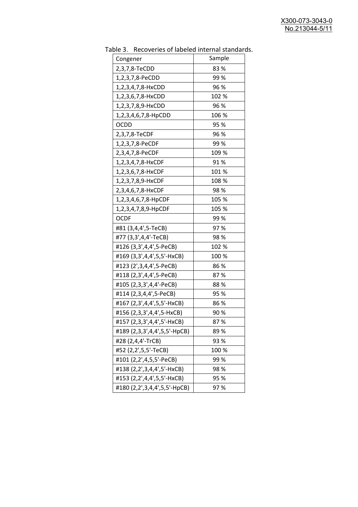| יכ אומג<br><b>INCLOVEDIES OF RESERVE INTERFERIOR STATISTICS</b> |        |
|-----------------------------------------------------------------|--------|
| Congener                                                        | Sample |
| 2,3,7,8-TeCDD                                                   | 83%    |
| 1,2,3,7,8-PeCDD                                                 | 99 %   |
| 1,2,3,4,7,8-HxCDD                                               | 96 %   |
| 1,2,3,6,7,8-HxCDD                                               | 102 %  |
| 1,2,3,7,8,9-HxCDD                                               | 96 %   |
| 1,2,3,4,6,7,8-HpCDD                                             | 106 %  |
| <b>OCDD</b>                                                     | 95 %   |
| 2,3,7,8-TeCDF                                                   | 96 %   |
| 1,2,3,7,8-PeCDF                                                 | 99%    |
| 2,3,4,7,8-PeCDF                                                 | 109 %  |
| 1,2,3,4,7,8-HxCDF                                               | 91%    |
| 1,2,3,6,7,8-HxCDF                                               | 101%   |
| 1,2,3,7,8,9-HxCDF                                               | 108 %  |
| 2,3,4,6,7,8-HxCDF                                               | 98 %   |
| 1,2,3,4,6,7,8-HpCDF                                             | 105 %  |
| 1,2,3,4,7,8,9-HpCDF                                             | 105 %  |
| <b>OCDF</b>                                                     | 99 %   |
| #81 (3,4,4',5-TeCB)                                             | 97%    |
| #77 (3,3',4,4'-TeCB)                                            | 98 %   |
| #126 (3,3',4,4',5-PeCB)                                         | 102 %  |
| #169 (3,3',4,4',5,5'-HxCB)                                      | 100 %  |
| #123 (2', 3, 4, 4', 5-PeCB)                                     | 86%    |
| #118 (2,3',4,4',5-PeCB)                                         | 87%    |
| #105 (2,3,3',4,4'-PeCB)                                         | 88%    |
| #114 (2,3,4,4',5-PeCB)                                          | 95 %   |
| #167 (2,3',4,4',5,5'-HxCB)                                      | 86 %   |
| #156 (2,3,3',4,4',5-HxCB)                                       | 90%    |
| #157 (2,3,3',4,4',5'-HxCB)                                      | 87%    |
| #189 (2,3,3',4,4',5,5'-HpCB)                                    | 89%    |
| #28 (2,4,4'-TrCB)                                               | 93%    |
| #52 (2,2',5,5'-TeCB)                                            | 100 %  |
| #101 (2,2',4,5,5'-PeCB)                                         | 99%    |
| #138 (2,2',3,4,4',5'-HxCB)                                      | 98%    |
| #153 (2,2',4,4',5,5'-HxCB)                                      | 95 %   |
| #180 (2,2',3,4,4',5,5'-HpCB)                                    | 97%    |

Table 3. Recoveries of labeled internal standards.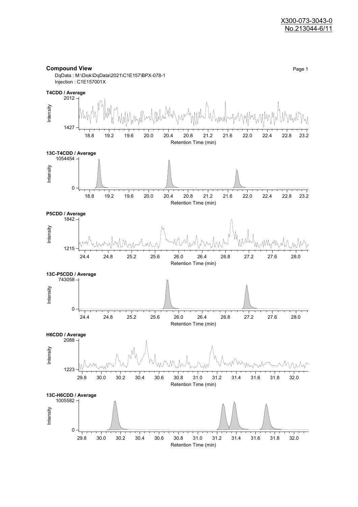#### **Compound View** Page 1 DqData : M:\Diok\DqData\2021\C1E157\BPX-078-1 Injection : C1E157001X **T4CDD / Average** 2012 Intensity 1427 18.8 19.2 19.6 20.0 20.4 20.8 21.2 21.6 22.0 22.4 22.8 23.2 Retention Time (min) **13C-T4CDD / Average** 1054454 Intensity 0  $\overline{\phantom{a}}$  $\overline{\phantom{a}}$  $\overline{\phantom{a}}$ 18.8 19.2 19.6 20.0 20.4 20.8 21.2 21.6 22.0 22.4 22.8 23.2 Retention Time (min) **P5CDD / Average** 1842 Intensity 1215 24.4 24.8 25.2 25.6 26.0 26.4 26.8 27.2 27.6 28.0 Retention Time (min) **13C-P5CDD / Average** 743058 Intensity 0 T  $\top$ 24.4 24.8 25.2 25.6 26.0 26.4 26.8 27.2 27.6 28.0 Retention Time (min) **H6CDD / Average** 2088 Intensity M 1223 29.8 30.0 30.2 30.4 30.6 30.8 31.0 31.2 31.4 31.6 31.8 32.0 Retention Time (min) **13C-H6CDD / Average**1005582 Intensity 0 ℸ ╤ Ť

29.8 30.0 30.2 30.4 30.6 30.8 31.0 31.2 31.4 31.6 31.8 32.0 Retention Time (min)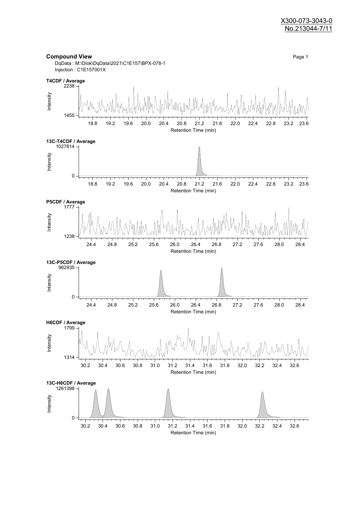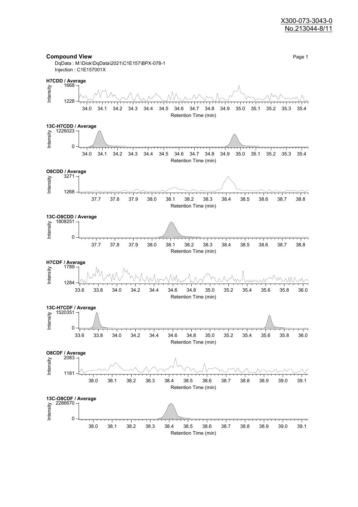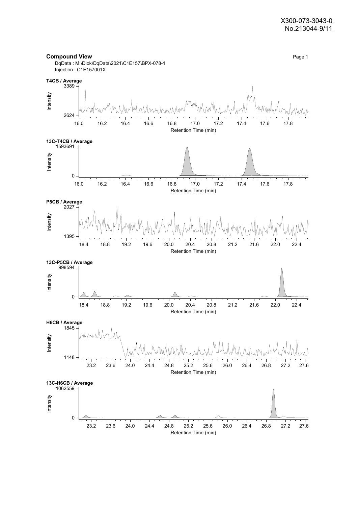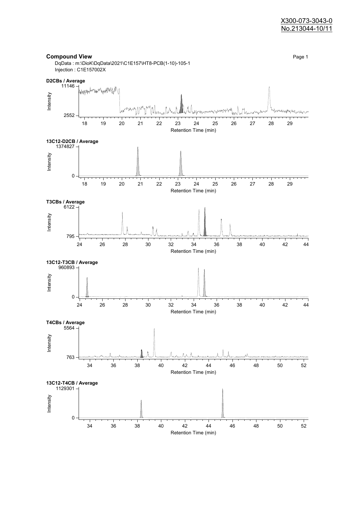